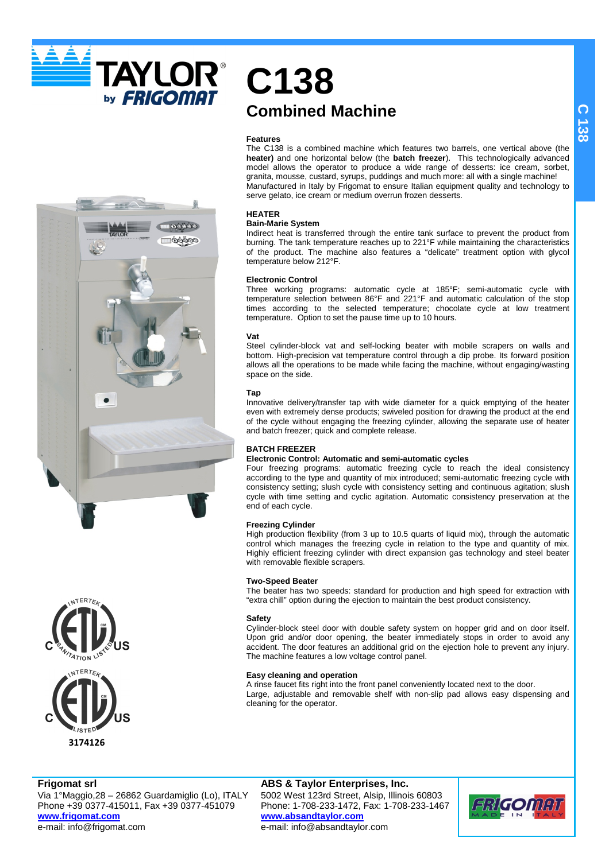



# **C138 Combined Machine**

### **Features**

The C138 is a combined machine which features two barrels, one vertical above (the **heater)** and one horizontal below (the **batch freezer**). This technologically advanced model allows the operator to produce a wide range of desserts: ice cream, sorbet, granita, mousse, custard, syrups, puddings and much more: all with a single machine! Manufactured in Italy by Frigomat to ensure Italian equipment quality and technology to serve gelato, ice cream or medium overrun frozen desserts.

### **HEATER**

### **Bain-Marie System**

Indirect heat is transferred through the entire tank surface to prevent the product from burning. The tank temperature reaches up to 221°F while maintaining the characteristics of the product. The machine also features a "delicate" treatment option with glycol temperature below 212°F.

#### **Electronic Control**

Three working programs: automatic cycle at 185°F; semi-automatic cycle with temperature selection between 86°F and 221°F and automatic calculation of the stop times according to the selected temperature; chocolate cycle at low treatment temperature. Option to set the pause time up to 10 hours.

### **Vat**

Steel cylinder-block vat and self-locking beater with mobile scrapers on walls and bottom. High-precision vat temperature control through a dip probe. Its forward position allows all the operations to be made while facing the machine, without engaging/wasting space on the side.

### **Tap**

Innovative delivery/transfer tap with wide diameter for a quick emptying of the heater even with extremely dense products; swiveled position for drawing the product at the end of the cycle without engaging the freezing cylinder, allowing the separate use of heater and batch freezer; quick and complete release.

### **BATCH FREEZER**

### **Electronic Control: Automatic and semi-automatic cycles**

Four freezing programs: automatic freezing cycle to reach the ideal consistency according to the type and quantity of mix introduced; semi-automatic freezing cycle with consistency setting; slush cycle with consistency setting and continuous agitation; slush cycle with time setting and cyclic agitation. Automatic consistency preservation at the end of each cycle.

### **Freezing Cylinder**

High production flexibility (from 3 up to 10.5 quarts of liquid mix), through the automatic control which manages the freezing cycle in relation to the type and quantity of mix. Highly efficient freezing cylinder with direct expansion gas technology and steel beater with removable flexible scrapers.

### **Two-Speed Beater**

The beater has two speeds: standard for production and high speed for extraction with "extra chill" option during the ejection to maintain the best product consistency.

### **Safety**

Cylinder-block steel door with double safety system on hopper grid and on door itself. Upon grid and/or door opening, the beater immediately stops in order to avoid any accident. The door features an additional grid on the ejection hole to prevent any injury. The machine features a low voltage control panel.

### **Easy cleaning and operation**

A rinse faucet fits right into the front panel conveniently located next to the door. Large, adjustable and removable shelf with non-slip pad allows easy dispensing and cleaning for the operator.

**Frigomat srl**

Via 1°Maggio,28 – 26862 Guardamiglio (Lo), ITALY Phone +39 0377-415011, Fax +39 0377-451079 **www.frigomat.com** e-mail: info@frigomat.com

**ABS & Taylor Enterprises, Inc.** 5002 West 123rd Street, Alsip, Illinois 60803 Phone: 1-708-233-1472, Fax: 1-708-233-1467 **www.absandtaylor.com** e-mail: info@absandtaylor.com